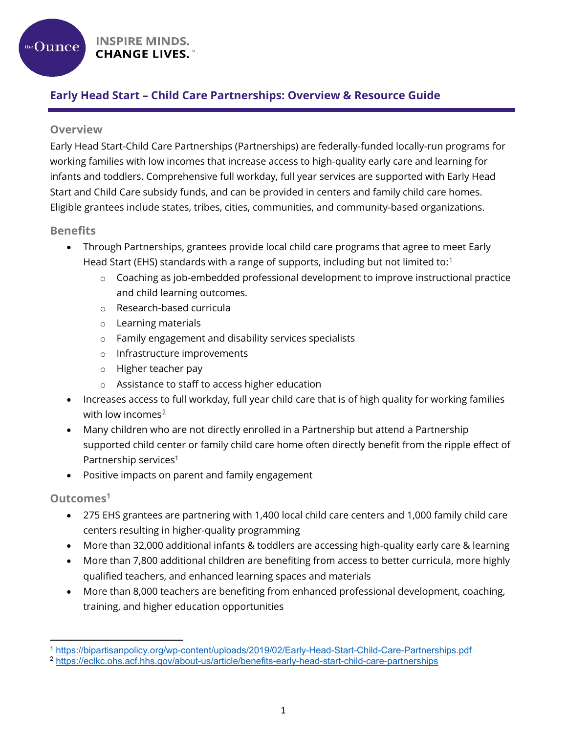**INSPIRE MINDS. CHANGE LIVES.™** 

## **Early Head Start – Child Care Partnerships: Overview & Resource Guide**

#### **Overview**

the  $O$ unce

Early Head Start-Child Care Partnerships (Partnerships) are federally-funded locally-run programs for working families with low incomes that increase access to high-quality early care and learning for infants and toddlers. Comprehensive full workday, full year services are supported with Early Head Start and Child Care subsidy funds, and can be provided in centers and family child care homes. Eligible grantees include states, tribes, cities, communities, and community-based organizations.

### **Benefits**

- Through Partnerships, grantees provide local child care programs that agree to meet Early Head Start (EHS) standards with a range of supports, including but not limited to:<sup>[1](#page-0-0)</sup>
	- $\circ$  Coaching as job-embedded professional development to improve instructional practice and child learning outcomes.
	- o Research-based curricula
	- o Learning materials
	- o Family engagement and disability services specialists
	- o Infrastructure improvements
	- o Higher teacher pay
	- o Assistance to staff to access higher education
- Increases access to full workday, full year child care that is of high quality for working families with low incomes<sup>[2](#page-0-1)</sup>
- Many children who are not directly enrolled in a Partnership but attend a Partnership supported child center or family child care home often directly benefit from the ripple effect of Partnership services<sup>1</sup>
- Positive impacts on parent and family engagement

## **Outcomes<sup>1</sup>**

l

- 275 EHS grantees are partnering with 1,400 local child care centers and 1,000 family child care centers resulting in higher-quality programming
- More than 32,000 additional infants & toddlers are accessing high-quality early care & learning
- More than 7,800 additional children are benefiting from access to better curricula, more highly qualified teachers, and enhanced learning spaces and materials
- More than 8,000 teachers are benefiting from enhanced professional development, coaching, training, and higher education opportunities

<span id="page-0-0"></span><sup>1</sup> <https://bipartisanpolicy.org/wp-content/uploads/2019/02/Early-Head-Start-Child-Care-Partnerships.pdf>

<span id="page-0-1"></span><sup>2</sup> <https://eclkc.ohs.acf.hhs.gov/about-us/article/benefits-early-head-start-child-care-partnerships>